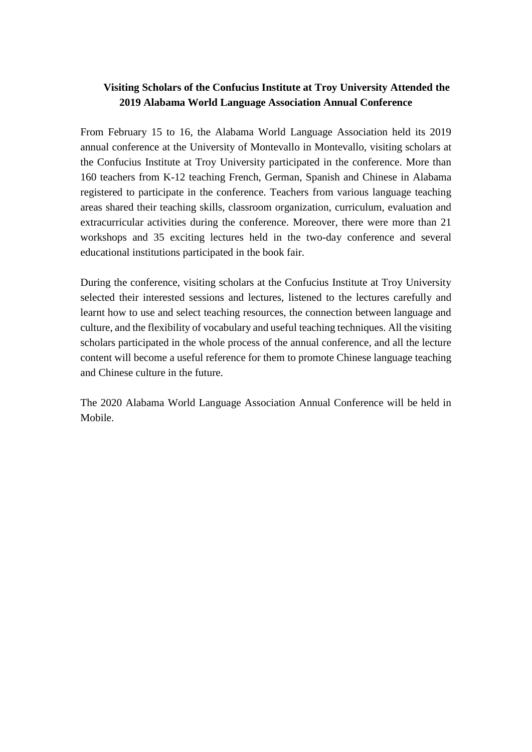## **Visiting Scholars of the Confucius Institute at Troy University Attended the 2019 Alabama World Language Association Annual Conference**

From February 15 to 16, the Alabama World Language Association held its 2019 annual conference at the University of Montevallo in Montevallo, visiting scholars at the Confucius Institute at Troy University participated in the conference. More than 160 teachers from K-12 teaching French, German, Spanish and Chinese in Alabama registered to participate in the conference. Teachers from various language teaching areas shared their teaching skills, classroom organization, curriculum, evaluation and extracurricular activities during the conference. Moreover, there were more than 21 workshops and 35 exciting lectures held in the two-day conference and several educational institutions participated in the book fair.

During the conference, visiting scholars at the Confucius Institute at Troy University selected their interested sessions and lectures, listened to the lectures carefully and learnt how to use and select teaching resources, the connection between language and culture, and the flexibility of vocabulary and useful teaching techniques. All the visiting scholars participated in the whole process of the annual conference, and all the lecture content will become a useful reference for them to promote Chinese language teaching and Chinese culture in the future.

The 2020 Alabama World Language Association Annual Conference will be held in Mobile.